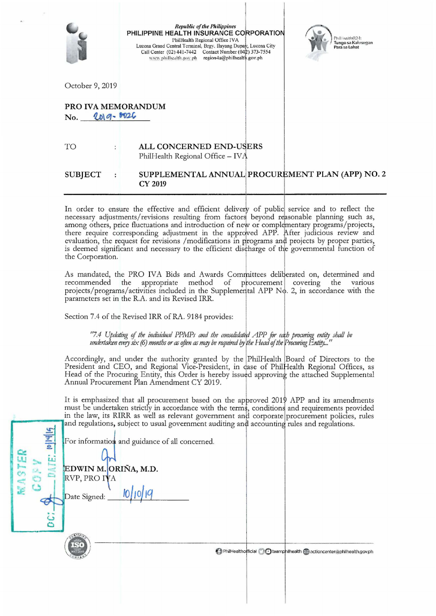|                                            | <b>Republic of the Philippines</b><br>PHILIPPINE HEALTH INSURANCE CORPORATION<br>PhilHealth Regional Office IVA<br>Lucena Grand Central Terminal, Brgy. Hayang Dupay, Lucena City<br>Call Center (02) 441-7442 Contact Number (042) 373-7554<br>region4a@philhealth.gov.ph<br>www.philhealth.gov.ph | Phill lealth@24:<br>Tungo sa Kalusugan<br>Para sa Lahat |
|--------------------------------------------|-----------------------------------------------------------------------------------------------------------------------------------------------------------------------------------------------------------------------------------------------------------------------------------------------------|---------------------------------------------------------|
| October 9, 2019                            |                                                                                                                                                                                                                                                                                                     |                                                         |
| <b>PRO IVA MEMORANDUM</b><br>No. 2019-8026 |                                                                                                                                                                                                                                                                                                     |                                                         |
| TO                                         | ALL CONCERNED END-USERS<br>PhilHealth Regional Office - IVA                                                                                                                                                                                                                                         |                                                         |
| <b>SUBJECT</b>                             | SUPPLEMENTAL ANNUAL PROCUREMENT PLAN (APP) NO. 2<br><b>CY 2019</b>                                                                                                                                                                                                                                  |                                                         |

In order to ensure the effective and efficient delivery of public service and to reflect the necessary adjustments/revisions resulting from factors beyond reasonable planning such as, among others, price fluctuations and i there require corresponding adjustment in the approved APP. After judicious review and evaluation, the request for revisions /modifications in programs and projects by proper parties, is deemed significant and necessary to the efficient discharge of the governmental function of the Corporation.

As mandated, the PRO IVA Bids and Awards Committees deliberated on, determined and recommended the appropriate method of procurement covering the various projects/programs/activities included in the Supplemental APP No. 2, in accordance with the parameters set in the R.A. and its Revised IRR.

Section 7.4 of the Revised IRR of RA. 9184 provides:

"7.4 Updating of the individual PPMPs and the consolidated APP for each procuring entity shall be<br>undertaken every six (6) months or as often as may be required by the Head of the Procuring Entity..."

Accordingly, and under the authority granted by the PhilHealth Board of Directors to the President and CEO, and Regional Vice-President, in case of PhilHealth Regional Offices, as Head of the Procuring Entity, this Order is hereby issued approving the attached Supplemental<br>Annual Procurement Plan Amendment CY 2019.

It is emphasized that all procurement based on the approved  $201\phi$  APP and its amendments must be undertaken strictly in accordance with the terms, conditions and requirements provided in the law, its RIRR as well as relevant government and corporate procurement policies, rules and regulations, subject to usual government auditing and accounting rules and regulations.

| <b>PIP</b><br>'nг | For information and guidance of all concerned.                   |  |
|-------------------|------------------------------------------------------------------|--|
| <b>RAST</b>       | EDWIN M. ORIÑA, M.D.<br>RVP, PRO IVA<br>10 10 19<br>Date Signed: |  |
|                   | <b>RTIF</b>                                                      |  |

 $\overline{z}$ 

Healtho**r**ficial **Co**teamphilhealth **C**actioncenter@philhealth.gov.ph